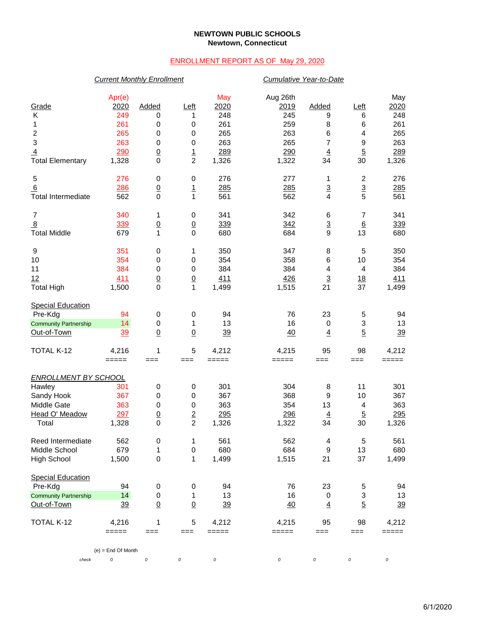### **NEWTOWN PUBLIC SCHOOLS Newtown, Connecticut**

## ENROLLMENT REPORT AS OF May 29, 2020

# *Current Monthly Enrollment Cumulative Year-to-Date*

| check                                       | 0                    | 0               | 0               | $\cal O$         | 0              | $\cal O$                 | 0                | 0              |
|---------------------------------------------|----------------------|-----------------|-----------------|------------------|----------------|--------------------------|------------------|----------------|
|                                             | $(e) =$ End Of Month |                 |                 |                  |                |                          |                  |                |
|                                             | $=====$              | $==$            | $==$            | =====            | =====          | $==$                     | $==$             | =====          |
| TOTAL K-12                                  | 4,216                | 1               | 5               | 4,212            | 4,215          | 95                       | 98               | 4,212          |
| Out-of-Town                                 | 39                   | $\underline{0}$ | $\underline{0}$ | 39               | 40             | $\overline{4}$           | $\overline{5}$   | 39             |
| <b>Community Partnership</b>                | 14                   | 0               | 1               | 13               | 16             | $\pmb{0}$                | 3                | 13             |
| Pre-Kdg                                     | 94                   | 0               | 0               | 94               | 76             | 23                       | 5                | 94             |
| <b>Special Education</b>                    |                      |                 |                 |                  |                |                          |                  |                |
| <b>High School</b>                          | 1,500                | $\pmb{0}$       | $\mathbf{1}$    | 1,499            | 1,515          | 21                       | 37               | 1,499          |
| Middle School                               | 679                  | 1               | $\mathbf 0$     | 680              | 684            | 9                        | 13               | 680            |
| Reed Intermediate                           | 562                  | 0               | 1               | 561              | 562            | 4                        | 5                | 561            |
| Total                                       | 1,328                | $\mathbf 0$     | $\overline{c}$  | 1,326            | 1,322          | 34                       | 30               | 1,326          |
| Head O' Meadow                              | 297                  | $\underline{0}$ | $\overline{2}$  | 295              | 296            | $\overline{4}$           | $\overline{5}$   | 295            |
| Middle Gate                                 | 363                  | 0               | 0               | 363              | 354            | 13                       | 4                | 363            |
| Sandy Hook                                  | 367                  |                 | 0               |                  |                |                          |                  |                |
|                                             |                      | 0               | 0               | 367              | 368            | 8<br>9                   | 10               | 367            |
| <b>ENROLLMENT BY SCHOOL</b><br>Hawley       | 301                  | $\pmb{0}$       |                 | 301              | 304            |                          | 11               | 301            |
|                                             |                      |                 |                 |                  |                |                          |                  |                |
| TOTAL K-12                                  | 4,216<br>$=====$     | 1<br>$==$       | 5<br>$==$       | 4,212<br>$=====$ | 4,215<br>===== | 95<br>$==$               | 98<br>===        | 4,212<br>===== |
|                                             |                      |                 |                 |                  |                |                          |                  |                |
| <b>Community Partnership</b><br>Out-of-Town | 39                   | $\underline{0}$ | $\overline{0}$  | 39               | 40             | $\overline{4}$           | $\overline{5}$   | 39             |
|                                             | 14                   | $\pmb{0}$       | 1               | 13               | 16             | 0                        | 5<br>3           | 13             |
| <b>Special Education</b><br>Pre-Kdg         | 94                   | $\pmb{0}$       | $\pmb{0}$       | 94               | 76             | 23                       |                  | 94             |
| <b>Total High</b>                           | 1,500                | $\mathbf 0$     | 1               | 1,499            | 1,515          | 21                       | 37               | 1,499          |
| 12                                          | 411                  | $\underline{0}$ | $\overline{0}$  | 411              | 426            | $\overline{3}$           | 18               | <u>411</u>     |
| 11                                          | 384                  | $\pmb{0}$       | $\mathbf 0$     | 384              | 384            | 4                        | 4                | 384            |
| 10                                          | 354                  | 0               | 0               | 354              | 358            | 6                        | 10               | 354            |
| 9                                           | 351                  | $\pmb{0}$       | 1               | 350              | 347            | 8                        | 5                | 350            |
| <b>Total Middle</b>                         | 679                  | 1               | $\mathbf 0$     | 680              | 684            | 9                        | 13               | 680            |
| $\underline{8}$                             | 339                  | $\underline{0}$ | $\overline{0}$  | 339              | 342            | $\underline{\mathbf{3}}$ | $6\phantom{1}6$  | 339            |
| $\boldsymbol{7}$                            | 340                  | 1               | 0               | 341              | 342            | 6                        | $\boldsymbol{7}$ | 341            |
| <b>Total Intermediate</b>                   | 562                  | $\mathbf 0$     | $\mathbf{1}$    | 561              | 562            | $\overline{\mathbf{4}}$  | 5                | 561            |
| 6                                           | 286                  | $\underline{0}$ | $\mathbf{1}$    | 285              | 285            | $\overline{3}$           | $\overline{3}$   | 285            |
| 5                                           | 276                  | 0               | 0               | 276              | 277            | 1                        | $\boldsymbol{2}$ | 276            |
| <b>Total Elementary</b>                     | 1,328                | $\mathbf 0$     | $\frac{1}{2}$   | 1,326            | 1,322          | 34                       | 30               | 1,326          |
| $\overline{4}$                              | 290                  | $\underline{0}$ |                 | 289              | 290            | $\overline{4}$           | $\overline{5}$   | 289            |
| $\ensuremath{\mathsf{3}}$                   | 263                  | 0               | 0               | 263              | 265            | 7                        | 9                | 263            |
| 2                                           | 265                  | 0               | 0               | 265              | 263            | 6                        | 4                | 265            |
| 1                                           | 261                  | 0               | 0               | 261              | 259            | 8                        | 6                | 261            |
| Κ                                           | 249                  | 0               | 1               | 248              | 245            | 9                        | 6                | 248            |
| Grade                                       | 2020                 | Added           | Left            | 2020             | 2019           | Added                    | Left             | 2020           |
|                                             | Apr(e)               |                 |                 | May              | Aug 26th       |                          |                  | May            |